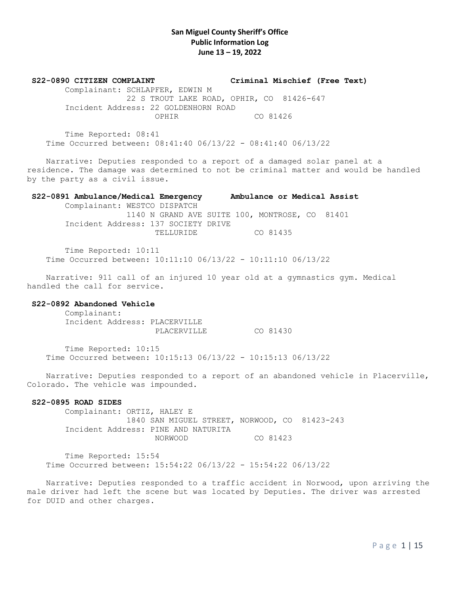**S22-0890 CITIZEN COMPLAINT Criminal Mischief (Free Text)**

 Complainant: SCHLAPFER, EDWIN M 22 S TROUT LAKE ROAD, OPHIR, CO 81426-647 Incident Address: 22 GOLDENHORN ROAD OPHIR CO 81426

 Time Reported: 08:41 Time Occurred between: 08:41:40 06/13/22 - 08:41:40 06/13/22

 Narrative: Deputies responded to a report of a damaged solar panel at a residence. The damage was determined to not be criminal matter and would be handled by the party as a civil issue.

### **S22-0891 Ambulance/Medical Emergency Ambulance or Medical Assist**

 Complainant: WESTCO DISPATCH 1140 N GRAND AVE SUITE 100, MONTROSE, CO 81401 Incident Address: 137 SOCIETY DRIVE TELLURIDE CO 81435

 Time Reported: 10:11 Time Occurred between: 10:11:10 06/13/22 - 10:11:10 06/13/22

 Narrative: 911 call of an injured 10 year old at a gymnastics gym. Medical handled the call for service.

## **S22-0892 Abandoned Vehicle**

 Complainant: Incident Address: PLACERVILLE PLACERVILLE CO 81430

 Time Reported: 10:15 Time Occurred between: 10:15:13 06/13/22 - 10:15:13 06/13/22

 Narrative: Deputies responded to a report of an abandoned vehicle in Placerville, Colorado. The vehicle was impounded.

## **S22-0895 ROAD SIDES**

 Complainant: ORTIZ, HALEY E 1840 SAN MIGUEL STREET, NORWOOD, CO 81423-243 Incident Address: PINE AND NATURITA NORWOOD CO 81423

 Time Reported: 15:54 Time Occurred between: 15:54:22 06/13/22 - 15:54:22 06/13/22

 Narrative: Deputies responded to a traffic accident in Norwood, upon arriving the male driver had left the scene but was located by Deputies. The driver was arrested for DUID and other charges.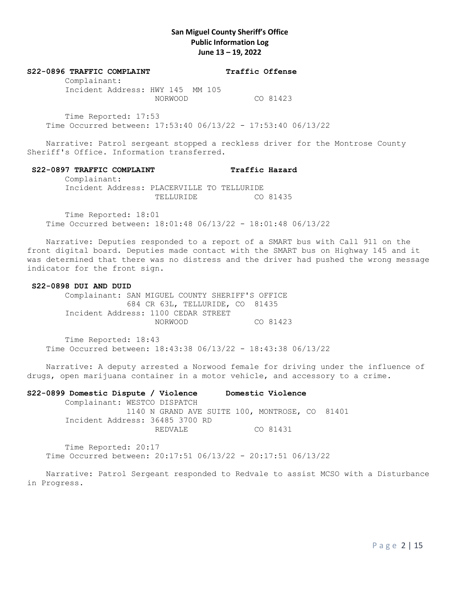#### S22-0896 TRAFFIC COMPLAINT **Traffic Offense**

 Complainant: Incident Address: HWY 145 MM 105 NORWOOD CO 81423

 Time Reported: 17:53 Time Occurred between: 17:53:40 06/13/22 - 17:53:40 06/13/22

 Narrative: Patrol sergeant stopped a reckless driver for the Montrose County Sheriff's Office. Information transferred.

## S22-0897 TRAFFIC COMPLAINT Traffic Hazard

 Complainant: Incident Address: PLACERVILLE TO TELLURIDE

TELLURIDE CO 81435

 Time Reported: 18:01 Time Occurred between: 18:01:48 06/13/22 - 18:01:48 06/13/22

 Narrative: Deputies responded to a report of a SMART bus with Call 911 on the front digital board. Deputies made contact with the SMART bus on Highway 145 and it was determined that there was no distress and the driver had pushed the wrong message indicator for the front sign.

#### **S22-0898 DUI AND DUID**

 Complainant: SAN MIGUEL COUNTY SHERIFF'S OFFICE 684 CR 63L, TELLURIDE, CO 81435 Incident Address: 1100 CEDAR STREET NORWOOD CO 81423

 Time Reported: 18:43 Time Occurred between: 18:43:38 06/13/22 - 18:43:38 06/13/22

 Narrative: A deputy arrested a Norwood female for driving under the influence of drugs, open marijuana container in a motor vehicle, and accessory to a crime.

**S22-0899 Domestic Dispute / Violence Domestic Violence** Complainant: WESTCO DISPATCH 1140 N GRAND AVE SUITE 100, MONTROSE, CO 81401 Incident Address: 36485 3700 RD REDVALE CO 81431

 Time Reported: 20:17 Time Occurred between: 20:17:51 06/13/22 - 20:17:51 06/13/22

 Narrative: Patrol Sergeant responded to Redvale to assist MCSO with a Disturbance in Progress.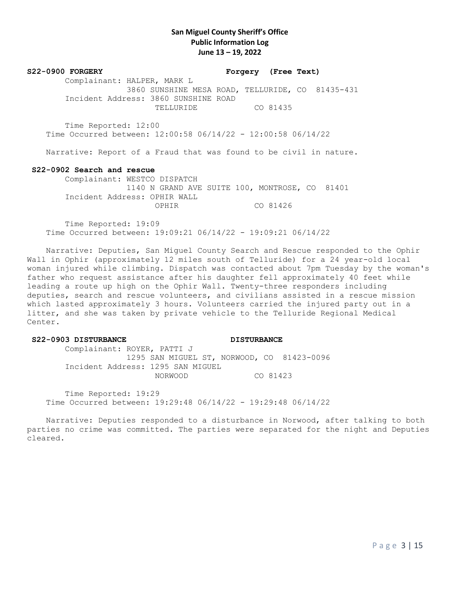**S22-0900 FORGERY Forgery (Free Text)** Complainant: HALPER, MARK L 3860 SUNSHINE MESA ROAD, TELLURIDE, CO 81435-431 Incident Address: 3860 SUNSHINE ROAD TELLURIDE CO 81435

 Time Reported: 12:00 Time Occurred between: 12:00:58 06/14/22 - 12:00:58 06/14/22

Narrative: Report of a Fraud that was found to be civil in nature.

#### **S22-0902 Search and rescue**

 Complainant: WESTCO DISPATCH 1140 N GRAND AVE SUITE 100, MONTROSE, CO 81401 Incident Address: OPHIR WALL OPHIR CO 81426

 Time Reported: 19:09 Time Occurred between: 19:09:21 06/14/22 - 19:09:21 06/14/22

 Narrative: Deputies, San Miguel County Search and Rescue responded to the Ophir Wall in Ophir (approximately 12 miles south of Telluride) for a 24 year-old local woman injured while climbing. Dispatch was contacted about 7pm Tuesday by the woman's father who request assistance after his daughter fell approximately 40 feet while leading a route up high on the Ophir Wall. Twenty-three responders including deputies, search and rescue volunteers, and civilians assisted in a rescue mission which lasted approximately 3 hours. Volunteers carried the injured party out in a litter, and she was taken by private vehicle to the Telluride Regional Medical Center.

#### **S22-0903 DISTURBANCE DISTURBANCE**

 Complainant: ROYER, PATTI J 1295 SAN MIGUEL ST, NORWOOD, CO 81423-0096 Incident Address: 1295 SAN MIGUEL NORWOOD CO 81423

 Time Reported: 19:29 Time Occurred between: 19:29:48 06/14/22 - 19:29:48 06/14/22

 Narrative: Deputies responded to a disturbance in Norwood, after talking to both parties no crime was committed. The parties were separated for the night and Deputies cleared.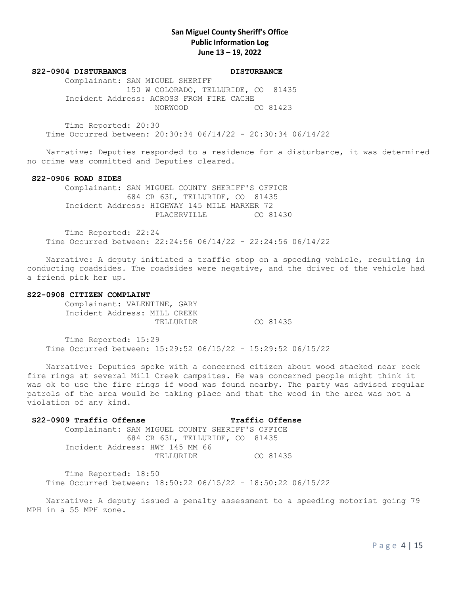#### S22-0904 DISTURBANCE DISTURBANCE

 Complainant: SAN MIGUEL SHERIFF 150 W COLORADO, TELLURIDE, CO 81435 Incident Address: ACROSS FROM FIRE CACHE NORWOOD CO 81423

 Time Reported: 20:30 Time Occurred between: 20:30:34 06/14/22 - 20:30:34 06/14/22

 Narrative: Deputies responded to a residence for a disturbance, it was determined no crime was committed and Deputies cleared.

#### **S22-0906 ROAD SIDES**

 Complainant: SAN MIGUEL COUNTY SHERIFF'S OFFICE 684 CR 63L, TELLURIDE, CO 81435 Incident Address: HIGHWAY 145 MILE MARKER 72 PLACERVILLE CO 81430

 Time Reported: 22:24 Time Occurred between: 22:24:56 06/14/22 - 22:24:56 06/14/22

 Narrative: A deputy initiated a traffic stop on a speeding vehicle, resulting in conducting roadsides. The roadsides were negative, and the driver of the vehicle had a friend pick her up.

#### **S22-0908 CITIZEN COMPLAINT**

 Complainant: VALENTINE, GARY Incident Address: MILL CREEK TELLURIDE CO 81435

 Time Reported: 15:29 Time Occurred between: 15:29:52 06/15/22 - 15:29:52 06/15/22

 Narrative: Deputies spoke with a concerned citizen about wood stacked near rock fire rings at several Mill Creek campsites. He was concerned people might think it was ok to use the fire rings if wood was found nearby. The party was advised regular patrols of the area would be taking place and that the wood in the area was not a violation of any kind.

## **S22-0909 Traffic Offense Traffic Offense**

 Complainant: SAN MIGUEL COUNTY SHERIFF'S OFFICE 684 CR 63L, TELLURIDE, CO 81435 Incident Address: HWY 145 MM 66 TELLURIDE CO 81435

 Time Reported: 18:50 Time Occurred between: 18:50:22 06/15/22 - 18:50:22 06/15/22

 Narrative: A deputy issued a penalty assessment to a speeding motorist going 79 MPH in a 55 MPH zone.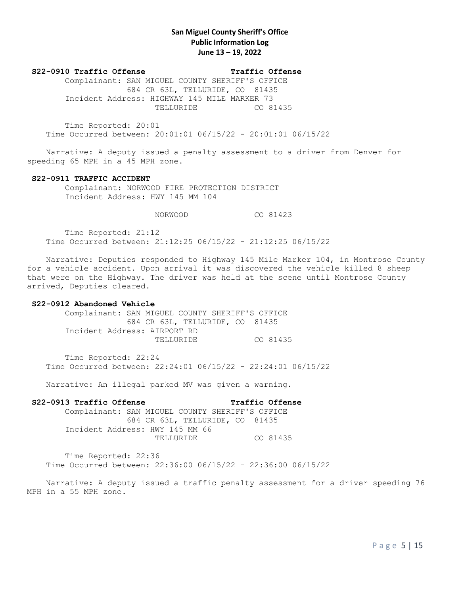## **S22-0910 Traffic Offense Traffic Offense**

 Complainant: SAN MIGUEL COUNTY SHERIFF'S OFFICE 684 CR 63L, TELLURIDE, CO 81435 Incident Address: HIGHWAY 145 MILE MARKER 73 TELLURIDE CO 81435

 Time Reported: 20:01 Time Occurred between: 20:01:01 06/15/22 - 20:01:01 06/15/22

 Narrative: A deputy issued a penalty assessment to a driver from Denver for speeding 65 MPH in a 45 MPH zone.

### **S22-0911 TRAFFIC ACCIDENT**

Complainant: NORWOOD FIRE PROTECTION DISTRICT Incident Address: HWY 145 MM 104

## NORWOOD CO 81423

 Time Reported: 21:12 Time Occurred between: 21:12:25 06/15/22 - 21:12:25 06/15/22

 Narrative: Deputies responded to Highway 145 Mile Marker 104, in Montrose County for a vehicle accident. Upon arrival it was discovered the vehicle killed 8 sheep that were on the Highway. The driver was held at the scene until Montrose County arrived, Deputies cleared.

#### **S22-0912 Abandoned Vehicle**

 Complainant: SAN MIGUEL COUNTY SHERIFF'S OFFICE 684 CR 63L, TELLURIDE, CO 81435 Incident Address: AIRPORT RD TELLURIDE CO 81435

 Time Reported: 22:24 Time Occurred between: 22:24:01 06/15/22 - 22:24:01 06/15/22

Narrative: An illegal parked MV was given a warning.

 **S22-0913 Traffic Offense Traffic Offense**  Complainant: SAN MIGUEL COUNTY SHERIFF'S OFFICE 684 CR 63L, TELLURIDE, CO 81435 Incident Address: HWY 145 MM 66 TELLURIDE CO 81435

 Time Reported: 22:36 Time Occurred between: 22:36:00 06/15/22 - 22:36:00 06/15/22

 Narrative: A deputy issued a traffic penalty assessment for a driver speeding 76 MPH in a 55 MPH zone.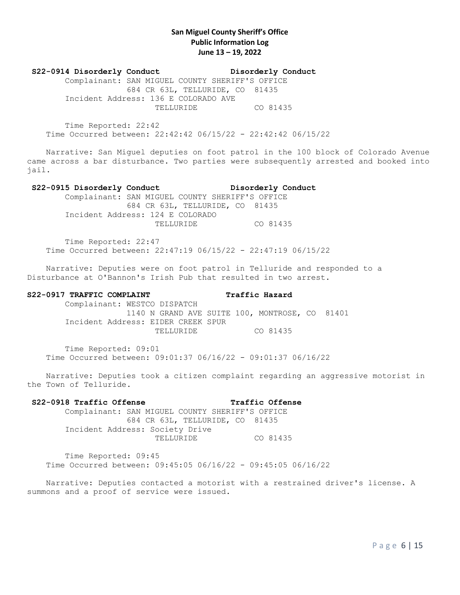**S22-0914 Disorderly Conduct Disorderly Conduct** Complainant: SAN MIGUEL COUNTY SHERIFF'S OFFICE 684 CR 63L, TELLURIDE, CO 81435 Incident Address: 136 E COLORADO AVE TELLURIDE CO 81435

 Time Reported: 22:42 Time Occurred between: 22:42:42 06/15/22 - 22:42:42 06/15/22

 Narrative: San Miguel deputies on foot patrol in the 100 block of Colorado Avenue came across a bar disturbance. Two parties were subsequently arrested and booked into jail.

### **S22-0915 Disorderly Conduct Disorderly Conduct**

 Complainant: SAN MIGUEL COUNTY SHERIFF'S OFFICE 684 CR 63L, TELLURIDE, CO 81435 Incident Address: 124 E COLORADO TELLURIDE CO 81435

 Time Reported: 22:47 Time Occurred between: 22:47:19 06/15/22 - 22:47:19 06/15/22

 Narrative: Deputies were on foot patrol in Telluride and responded to a Disturbance at O'Bannon's Irish Pub that resulted in two arrest.

## **S22-0917 TRAFFIC COMPLAINT Traffic Hazard**

 Complainant: WESTCO DISPATCH 1140 N GRAND AVE SUITE 100, MONTROSE, CO 81401 Incident Address: EIDER CREEK SPUR TELLURIDE CO 81435

 Time Reported: 09:01 Time Occurred between: 09:01:37 06/16/22 - 09:01:37 06/16/22

 Narrative: Deputies took a citizen complaint regarding an aggressive motorist in the Town of Telluride.

## **S22-0918 Traffic Offense Traffic Offense**

 Complainant: SAN MIGUEL COUNTY SHERIFF'S OFFICE 684 CR 63L, TELLURIDE, CO 81435 Incident Address: Society Drive TELLURIDE CO 81435

 Time Reported: 09:45 Time Occurred between: 09:45:05 06/16/22 - 09:45:05 06/16/22

Narrative: Deputies contacted a motorist with a restrained driver's license. A summons and a proof of service were issued.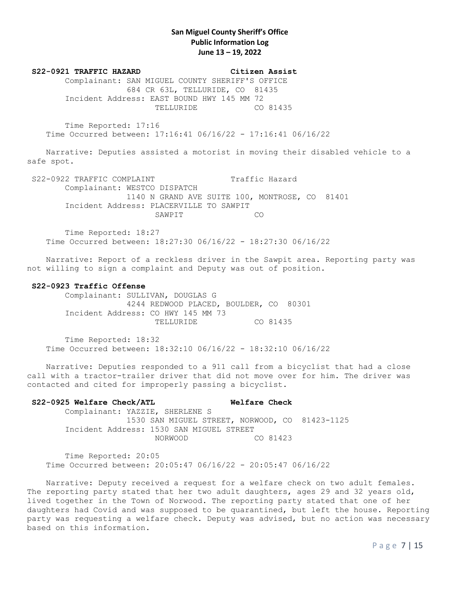**S22-0921 TRAFFIC HAZARD Citizen Assist** Complainant: SAN MIGUEL COUNTY SHERIFF'S OFFICE 684 CR 63L, TELLURIDE, CO 81435 Incident Address: EAST BOUND HWY 145 MM 72 TELLURIDE CO 81435

 Time Reported: 17:16 Time Occurred between: 17:16:41 06/16/22 - 17:16:41 06/16/22

 Narrative: Deputies assisted a motorist in moving their disabled vehicle to a safe spot.

S22-0922 TRAFFIC COMPLAINT Traffic Hazard Complainant: WESTCO DISPATCH 1140 N GRAND AVE SUITE 100, MONTROSE, CO 81401 Incident Address: PLACERVILLE TO SAWPIT SAWPIT CO

 Time Reported: 18:27 Time Occurred between: 18:27:30 06/16/22 - 18:27:30 06/16/22

 Narrative: Report of a reckless driver in the Sawpit area. Reporting party was not willing to sign a complaint and Deputy was out of position.

### **S22-0923 Traffic Offense**

 Complainant: SULLIVAN, DOUGLAS G 4244 REDWOOD PLACED, BOULDER, CO 80301 Incident Address: CO HWY 145 MM 73 TELLURIDE CO 81435

 Time Reported: 18:32 Time Occurred between: 18:32:10 06/16/22 - 18:32:10 06/16/22

 Narrative: Deputies responded to a 911 call from a bicyclist that had a close call with a tractor-trailer driver that did not move over for him. The driver was contacted and cited for improperly passing a bicyclist.

# **S22-0925 Welfare Check/ATL Welfare Check** Complainant: YAZZIE, SHERLENE S 1530 SAN MIGUEL STREET, NORWOOD, CO 81423-1125 Incident Address: 1530 SAN MIGUEL STREET NORWOOD CO 81423

 Time Reported: 20:05 Time Occurred between: 20:05:47 06/16/22 - 20:05:47 06/16/22

 Narrative: Deputy received a request for a welfare check on two adult females. The reporting party stated that her two adult daughters, ages 29 and 32 years old, lived together in the Town of Norwood. The reporting party stated that one of her daughters had Covid and was supposed to be quarantined, but left the house. Reporting party was requesting a welfare check. Deputy was advised, but no action was necessary based on this information.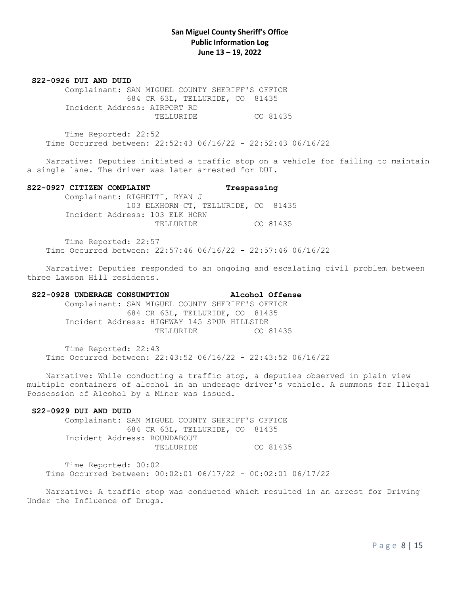**S22-0926 DUI AND DUID**

 Complainant: SAN MIGUEL COUNTY SHERIFF'S OFFICE 684 CR 63L, TELLURIDE, CO 81435 Incident Address: AIRPORT RD TELLURIDE CO 81435

 Time Reported: 22:52 Time Occurred between: 22:52:43 06/16/22 - 22:52:43 06/16/22

 Narrative: Deputies initiated a traffic stop on a vehicle for failing to maintain a single lane. The driver was later arrested for DUI.

## **S22-0927 CITIZEN COMPLAINT Trespassing**

 Complainant: RIGHETTI, RYAN J 103 ELKHORN CT, TELLURIDE, CO 81435 Incident Address: 103 ELK HORN TELLURIDE CO 81435

 Time Reported: 22:57 Time Occurred between: 22:57:46 06/16/22 - 22:57:46 06/16/22

 Narrative: Deputies responded to an ongoing and escalating civil problem between three Lawson Hill residents.

# **S22-0928 UNDERAGE CONSUMPTION Alcohol Offense**

 Complainant: SAN MIGUEL COUNTY SHERIFF'S OFFICE 684 CR 63L, TELLURIDE, CO 81435 Incident Address: HIGHWAY 145 SPUR HILLSIDE TELLURIDE CO 81435

 Time Reported: 22:43 Time Occurred between: 22:43:52 06/16/22 - 22:43:52 06/16/22

 Narrative: While conducting a traffic stop, a deputies observed in plain view multiple containers of alcohol in an underage driver's vehicle. A summons for Illegal Possession of Alcohol by a Minor was issued.

## **S22-0929 DUI AND DUID**

 Complainant: SAN MIGUEL COUNTY SHERIFF'S OFFICE 684 CR 63L, TELLURIDE, CO 81435 Incident Address: ROUNDABOUT TELLURIDE CO 81435

 Time Reported: 00:02 Time Occurred between: 00:02:01 06/17/22 - 00:02:01 06/17/22

 Narrative: A traffic stop was conducted which resulted in an arrest for Driving Under the Influence of Drugs.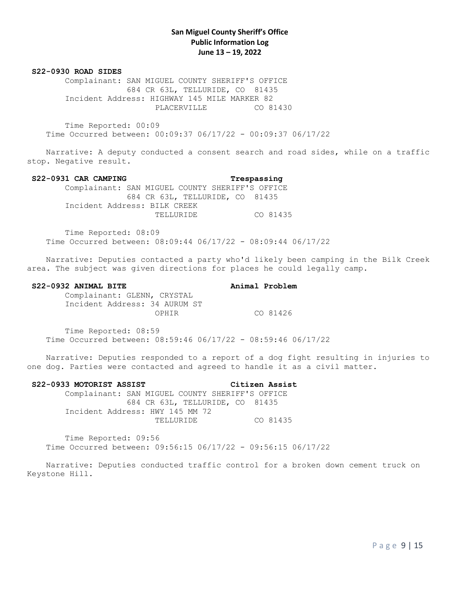#### **S22-0930 ROAD SIDES**

 Complainant: SAN MIGUEL COUNTY SHERIFF'S OFFICE 684 CR 63L, TELLURIDE, CO 81435 Incident Address: HIGHWAY 145 MILE MARKER 82 PLACERVILLE CO 81430

 Time Reported: 00:09 Time Occurred between: 00:09:37 06/17/22 - 00:09:37 06/17/22

 Narrative: A deputy conducted a consent search and road sides, while on a traffic stop. Negative result.

#### **S22-0931 CAR CAMPING Trespassing**

 Complainant: SAN MIGUEL COUNTY SHERIFF'S OFFICE 684 CR 63L, TELLURIDE, CO 81435 Incident Address: BILK CREEK TELLURIDE CO 81435

 Time Reported: 08:09 Time Occurred between: 08:09:44 06/17/22 - 08:09:44 06/17/22

 Narrative: Deputies contacted a party who'd likely been camping in the Bilk Creek area. The subject was given directions for places he could legally camp.

#### **S22-0932 ANIMAL BITE Animal Problem**

 Complainant: GLENN, CRYSTAL Incident Address: 34 AURUM ST OPHIR CO 81426

 Time Reported: 08:59 Time Occurred between: 08:59:46 06/17/22 - 08:59:46 06/17/22

 Narrative: Deputies responded to a report of a dog fight resulting in injuries to one dog. Parties were contacted and agreed to handle it as a civil matter.

#### **S22-0933 MOTORIST ASSIST Citizen Assist**

 Complainant: SAN MIGUEL COUNTY SHERIFF'S OFFICE 684 CR 63L, TELLURIDE, CO 81435 Incident Address: HWY 145 MM 72 TELLURIDE CO 81435

 Time Reported: 09:56 Time Occurred between: 09:56:15 06/17/22 - 09:56:15 06/17/22

 Narrative: Deputies conducted traffic control for a broken down cement truck on Keystone Hill.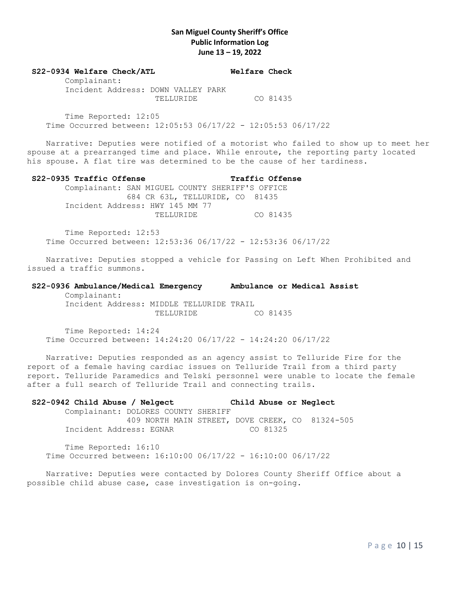#### **S22-0934 Welfare Check/ATL Welfare Check**

 Complainant: Incident Address: DOWN VALLEY PARK TELLURIDE CO 81435

 Time Reported: 12:05 Time Occurred between: 12:05:53 06/17/22 - 12:05:53 06/17/22

 Narrative: Deputies were notified of a motorist who failed to show up to meet her spouse at a prearranged time and place. While enroute, the reporting party located his spouse. A flat tire was determined to be the cause of her tardiness.

### **S22-0935 Traffic Offense Traffic Offense**

 Complainant: SAN MIGUEL COUNTY SHERIFF'S OFFICE 684 CR 63L, TELLURIDE, CO 81435 Incident Address: HWY 145 MM 77 TELLURIDE CO 81435

 Time Reported: 12:53 Time Occurred between: 12:53:36 06/17/22 - 12:53:36 06/17/22

 Narrative: Deputies stopped a vehicle for Passing on Left When Prohibited and issued a traffic summons.

## **S22-0936 Ambulance/Medical Emergency Ambulance or Medical Assist** Complainant: Incident Address: MIDDLE TELLURIDE TRAIL

TELLURIDE CO 81435

 Time Reported: 14:24 Time Occurred between: 14:24:20 06/17/22 - 14:24:20 06/17/22

 Narrative: Deputies responded as an agency assist to Telluride Fire for the report of a female having cardiac issues on Telluride Trail from a third party report. Telluride Paramedics and Telski personnel were unable to locate the female after a full search of Telluride Trail and connecting trails.

# **S22-0942 Child Abuse / Nelgect Child Abuse or Neglect** Complainant: DOLORES COUNTY SHERIFF 409 NORTH MAIN STREET, DOVE CREEK, CO 81324-505 Incident Address: EGNAR CO 81325

 Time Reported: 16:10 Time Occurred between: 16:10:00 06/17/22 - 16:10:00 06/17/22

 Narrative: Deputies were contacted by Dolores County Sheriff Office about a possible child abuse case, case investigation is on-going.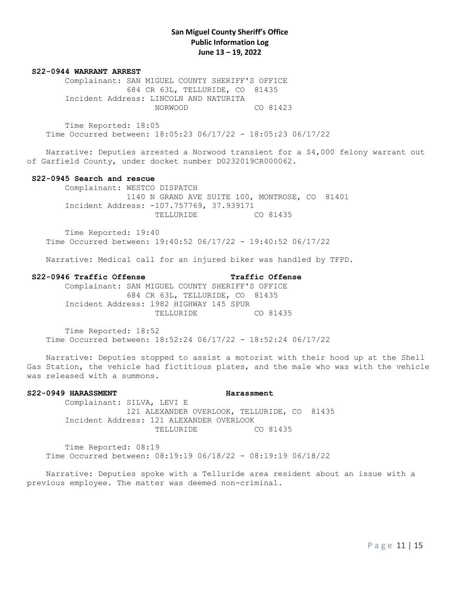#### **S22-0944 WARRANT ARREST**

 Complainant: SAN MIGUEL COUNTY SHERIFF'S OFFICE 684 CR 63L, TELLURIDE, CO 81435 Incident Address: LINCOLN AND NATURITA NORWOOD CO 81423

 Time Reported: 18:05 Time Occurred between: 18:05:23 06/17/22 - 18:05:23 06/17/22

 Narrative: Deputies arrested a Norwood transient for a \$4,000 felony warrant out of Garfield County, under docket number D0232019CR000062.

#### **S22-0945 Search and rescue**

 Complainant: WESTCO DISPATCH 1140 N GRAND AVE SUITE 100, MONTROSE, CO 81401 Incident Address: -107.757769, 37.939171 TELLURIDE CO 81435

 Time Reported: 19:40 Time Occurred between: 19:40:52 06/17/22 - 19:40:52 06/17/22

Narrative: Medical call for an injured biker was handled by TFPD.

## **S22-0946 Traffic Offense Traffic Offense**

 Complainant: SAN MIGUEL COUNTY SHERIFF'S OFFICE 684 CR 63L, TELLURIDE, CO 81435 Incident Address: 1982 HIGHWAY 145 SPUR TELLURIDE CO 81435

 Time Reported: 18:52 Time Occurred between: 18:52:24 06/17/22 - 18:52:24 06/17/22

 Narrative: Deputies stopped to assist a motorist with their hood up at the Shell Gas Station, the vehicle had fictitious plates, and the male who was with the vehicle was released with a summons.

# **S22-0949 HARASSMENT Harassment** Complainant: SILVA, LEVI E 121 ALEXANDER OVERLOOK, TELLURIDE, CO 81435

 Incident Address: 121 ALEXANDER OVERLOOK TELLURIDE CO 81435

 Time Reported: 08:19 Time Occurred between: 08:19:19 06/18/22 - 08:19:19 06/18/22

 Narrative: Deputies spoke with a Telluride area resident about an issue with a previous employee. The matter was deemed non-criminal.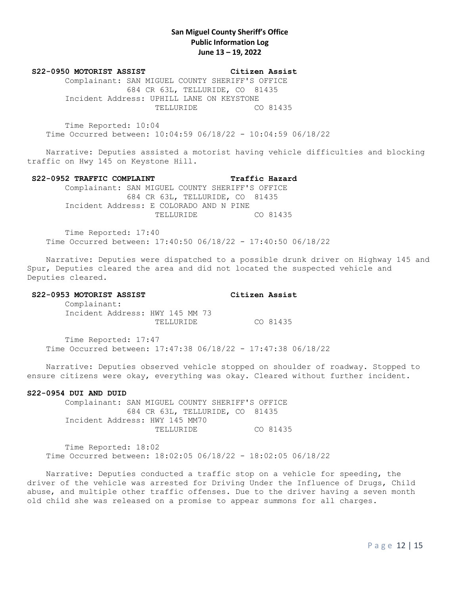**S22-0950 MOTORIST ASSIST Citizen Assist**

 Complainant: SAN MIGUEL COUNTY SHERIFF'S OFFICE 684 CR 63L, TELLURIDE, CO 81435 Incident Address: UPHILL LANE ON KEYSTONE TELLURIDE CO 81435

 Time Reported: 10:04 Time Occurred between: 10:04:59 06/18/22 - 10:04:59 06/18/22

 Narrative: Deputies assisted a motorist having vehicle difficulties and blocking traffic on Hwy 145 on Keystone Hill.

### S22-0952 TRAFFIC COMPLAINT **Traffic Hazard**

 Complainant: SAN MIGUEL COUNTY SHERIFF'S OFFICE 684 CR 63L, TELLURIDE, CO 81435 Incident Address: E COLORADO AND N PINE TELLURIDE CO 81435

 Time Reported: 17:40 Time Occurred between: 17:40:50 06/18/22 - 17:40:50 06/18/22

 Narrative: Deputies were dispatched to a possible drunk driver on Highway 145 and Spur, Deputies cleared the area and did not located the suspected vehicle and Deputies cleared.

## **S22-0953 MOTORIST ASSIST Citizen Assist**

 Complainant: Incident Address: HWY 145 MM 73 TELLURIDE CO 81435

 Time Reported: 17:47 Time Occurred between: 17:47:38 06/18/22 - 17:47:38 06/18/22

 Narrative: Deputies observed vehicle stopped on shoulder of roadway. Stopped to ensure citizens were okay, everything was okay. Cleared without further incident.

#### **S22-0954 DUI AND DUID**

 Complainant: SAN MIGUEL COUNTY SHERIFF'S OFFICE 684 CR 63L, TELLURIDE, CO 81435 Incident Address: HWY 145 MM70 TELLURIDE CO 81435

 Time Reported: 18:02 Time Occurred between: 18:02:05 06/18/22 - 18:02:05 06/18/22

 Narrative: Deputies conducted a traffic stop on a vehicle for speeding, the driver of the vehicle was arrested for Driving Under the Influence of Drugs, Child abuse, and multiple other traffic offenses. Due to the driver having a seven month old child she was released on a promise to appear summons for all charges.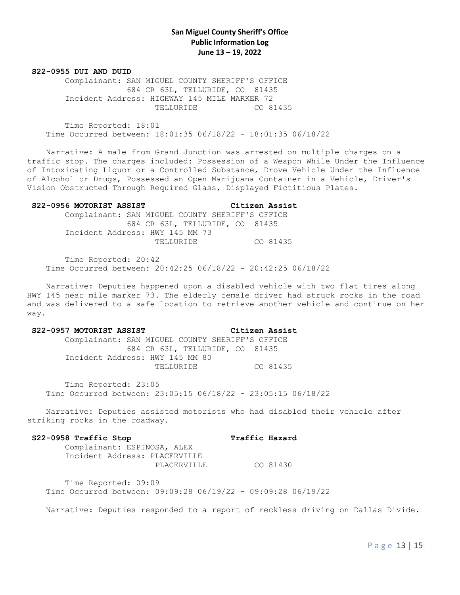#### **S22-0955 DUI AND DUID**

 Complainant: SAN MIGUEL COUNTY SHERIFF'S OFFICE 684 CR 63L, TELLURIDE, CO 81435 Incident Address: HIGHWAY 145 MILE MARKER 72 TELLURIDE CO 81435

 Time Reported: 18:01 Time Occurred between: 18:01:35 06/18/22 - 18:01:35 06/18/22

 Narrative: A male from Grand Junction was arrested on multiple charges on a traffic stop. The charges included: Possession of a Weapon While Under the Influence of Intoxicating Liquor or a Controlled Substance, Drove Vehicle Under the Influence of Alcohol or Drugs, Possessed an Open Marijuana Container in a Vehicle, Driver's Vision Obstructed Through Required Glass, Displayed Fictitious Plates.

#### **S22-0956 MOTORIST ASSIST Citizen Assist**

 Complainant: SAN MIGUEL COUNTY SHERIFF'S OFFICE 684 CR 63L, TELLURIDE, CO 81435 Incident Address: HWY 145 MM 73 TELLURIDE CO 81435

 Time Reported: 20:42 Time Occurred between: 20:42:25 06/18/22 - 20:42:25 06/18/22

 Narrative: Deputies happened upon a disabled vehicle with two flat tires along HWY 145 near mile marker 73. The elderly female driver had struck rocks in the road and was delivered to a safe location to retrieve another vehicle and continue on her way.

#### **S22-0957 MOTORIST ASSIST Citizen Assist**

 Complainant: SAN MIGUEL COUNTY SHERIFF'S OFFICE 684 CR 63L, TELLURIDE, CO 81435 Incident Address: HWY 145 MM 80 TELLURIDE CO 81435

 Time Reported: 23:05 Time Occurred between: 23:05:15 06/18/22 - 23:05:15 06/18/22

 Narrative: Deputies assisted motorists who had disabled their vehicle after striking rocks in the roadway.

## **S22-0958 Traffic Stop Traffic Hazard**

 Complainant: ESPINOSA, ALEX Incident Address: PLACERVILLE PLACERVILLE CO 81430

 Time Reported: 09:09 Time Occurred between: 09:09:28 06/19/22 - 09:09:28 06/19/22

Narrative: Deputies responded to a report of reckless driving on Dallas Divide.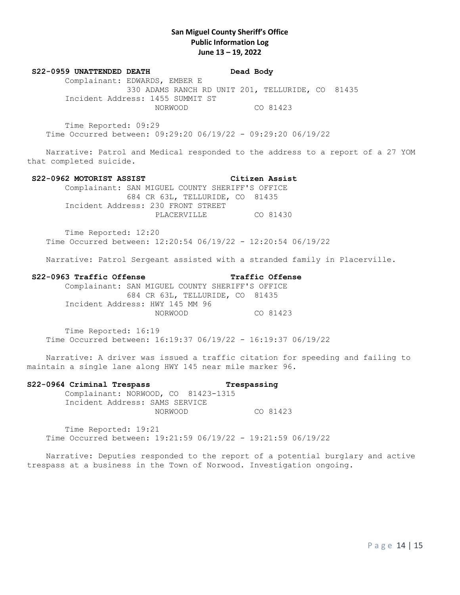## **S22-0959 UNATTENDED DEATH Dead Body**

 Complainant: EDWARDS, EMBER E 330 ADAMS RANCH RD UNIT 201, TELLURIDE, CO 81435 Incident Address: 1455 SUMMIT ST NORWOOD CO 81423

 Time Reported: 09:29 Time Occurred between: 09:29:20 06/19/22 - 09:29:20 06/19/22

 Narrative: Patrol and Medical responded to the address to a report of a 27 YOM that completed suicide.

### **S22-0962 MOTORIST ASSIST Citizen Assist**

 Complainant: SAN MIGUEL COUNTY SHERIFF'S OFFICE 684 CR 63L, TELLURIDE, CO 81435 Incident Address: 230 FRONT STREET PLACERVILLE CO 81430

 Time Reported: 12:20 Time Occurred between: 12:20:54 06/19/22 - 12:20:54 06/19/22

Narrative: Patrol Sergeant assisted with a stranded family in Placerville.

## **S22-0963 Traffic Offense Traffic Offense**

## Complainant: SAN MIGUEL COUNTY SHERIFF'S OFFICE 684 CR 63L, TELLURIDE, CO 81435 Incident Address: HWY 145 MM 96 NORWOOD CO 81423

 Time Reported: 16:19 Time Occurred between: 16:19:37 06/19/22 - 16:19:37 06/19/22

 Narrative: A driver was issued a traffic citation for speeding and failing to maintain a single lane along HWY 145 near mile marker 96.

## **S22-0964 Criminal Trespass Trespassing**

Complainant: NORWOOD, CO 81423-1315 Incident Address: SAMS SERVICE NORWOOD CO 81423

 Time Reported: 19:21 Time Occurred between: 19:21:59 06/19/22 - 19:21:59 06/19/22

 Narrative: Deputies responded to the report of a potential burglary and active trespass at a business in the Town of Norwood. Investigation ongoing.